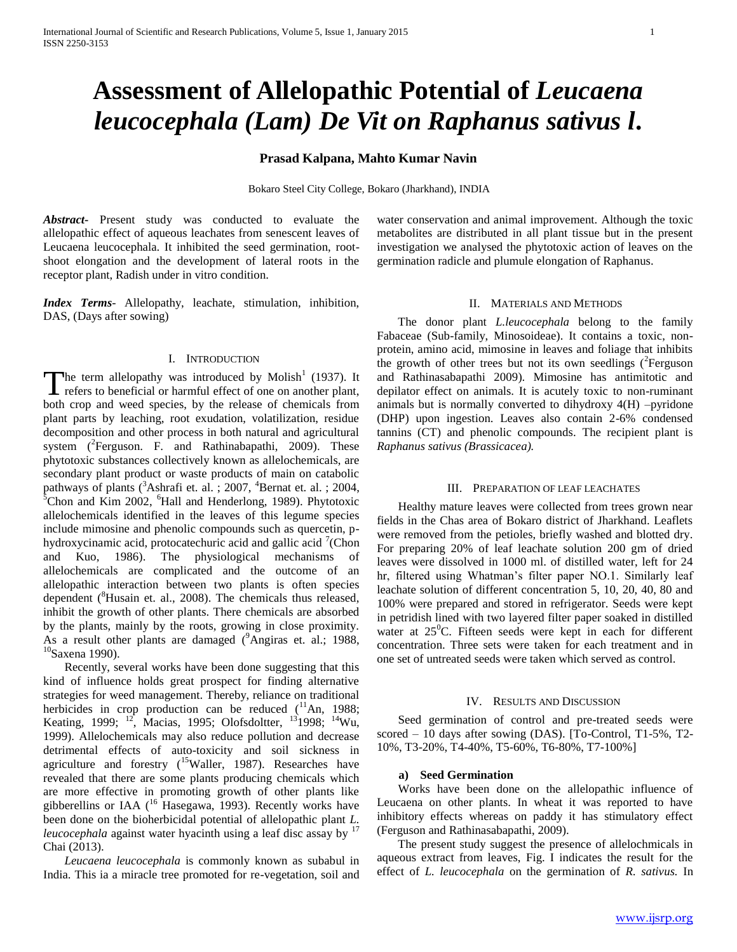# **Assessment of Allelopathic Potential of** *Leucaena leucocephala (Lam) De Vit on Raphanus sativus l***.**

## **Prasad Kalpana, Mahto Kumar Navin**

Bokaro Steel City College, Bokaro (Jharkhand), INDIA

*Abstract***-** Present study was conducted to evaluate the allelopathic effect of aqueous leachates from senescent leaves of Leucaena leucocephala. It inhibited the seed germination, rootshoot elongation and the development of lateral roots in the receptor plant, Radish under in vitro condition.

*Index Terms*- Allelopathy, leachate, stimulation, inhibition, DAS, (Days after sowing)

#### I. INTRODUCTION

he term allelopathy was introduced by Molish $1$  (1937). It The term allelopathy was introduced by Molish<sup>1</sup> (1937). It refers to beneficial or harmful effect of one on another plant, both crop and weed species, by the release of chemicals from plant parts by leaching, root exudation, volatilization, residue decomposition and other process in both natural and agricultural system  $(^{2}$ Ferguson. F. and Rathinabapathi, 2009). These phytotoxic substances collectively known as allelochemicals, are secondary plant product or waste products of main on catabolic pathways of plants  $({}^3$ Ashrafi et. al. ; 2007,  ${}^4$ Bernat et. al. ; 2004, <sup>5</sup>Chon and Kim 2002, <sup>6</sup>Hall and Henderlong, 1989). Phytotoxic allelochemicals identified in the leaves of this legume species include mimosine and phenolic compounds such as quercetin, phydroxycinamic acid, protocatechuric acid and gallic acid  $\sqrt[7]{\text{Chon}}$ and Kuo, 1986). The physiological mechanisms of allelochemicals are complicated and the outcome of an allelopathic interaction between two plants is often species dependent (<sup>8</sup>Husain et. al., 2008). The chemicals thus released, inhibit the growth of other plants. There chemicals are absorbed by the plants, mainly by the roots, growing in close proximity. As a result other plants are damaged ( <sup>9</sup>Angiras et. al.; 1988, <sup>10</sup>Saxena 1990).

 Recently, several works have been done suggesting that this kind of influence holds great prospect for finding alternative strategies for weed management. Thereby, reliance on traditional herbicides in crop production can be reduced  $(^{11}$ An, 1988; Keating, 1999; <sup>12</sup>, Macias, 1995; Olofsdoltter, <sup>13</sup>1998; <sup>14</sup>Wu, 1999). Allelochemicals may also reduce pollution and decrease detrimental effects of auto-toxicity and soil sickness in agriculture and forestry  $(^{15}$ Waller, 1987). Researches have revealed that there are some plants producing chemicals which are more effective in promoting growth of other plants like gibberellins or IAA  $(16 \text{ Hasegawa}, 1993)$ . Recently works have been done on the bioherbicidal potential of allelopathic plant *L. leucocephala* against water hyacinth using a leaf disc assay by <sup>17</sup> Chai (2013).

 *Leucaena leucocephala* is commonly known as subabul in India. This ia a miracle tree promoted for re-vegetation, soil and

water conservation and animal improvement. Although the toxic metabolites are distributed in all plant tissue but in the present investigation we analysed the phytotoxic action of leaves on the germination radicle and plumule elongation of Raphanus.

## II. MATERIALS AND METHODS

 The donor plant *L.leucocephala* belong to the family Fabaceae (Sub-family, Minosoideae). It contains a toxic, nonprotein, amino acid, mimosine in leaves and foliage that inhibits the growth of other trees but not its own seedlings  $(^{2}$ Ferguson and Rathinasabapathi 2009). Mimosine has antimitotic and depilator effect on animals. It is acutely toxic to non-ruminant animals but is normally converted to dihydroxy 4(H) –pyridone (DHP) upon ingestion. Leaves also contain 2-6% condensed tannins (CT) and phenolic compounds. The recipient plant is *Raphanus sativus (Brassicacea).*

#### III. PREPARATION OF LEAF LEACHATES

 Healthy mature leaves were collected from trees grown near fields in the Chas area of Bokaro district of Jharkhand. Leaflets were removed from the petioles, briefly washed and blotted dry. For preparing 20% of leaf leachate solution 200 gm of dried leaves were dissolved in 1000 ml. of distilled water, left for 24 hr, filtered using Whatman's filter paper NO.1. Similarly leaf leachate solution of different concentration 5, 10, 20, 40, 80 and 100% were prepared and stored in refrigerator. Seeds were kept in petridish lined with two layered filter paper soaked in distilled water at  $25^{\circ}$ C. Fifteen seeds were kept in each for different concentration. Three sets were taken for each treatment and in one set of untreated seeds were taken which served as control.

#### IV. RESULTS AND DISCUSSION

 Seed germination of control and pre-treated seeds were scored – 10 days after sowing (DAS). [To-Control, T1-5%, T2- 10%, T3-20%, T4-40%, T5-60%, T6-80%, T7-100%]

## **a) Seed Germination**

 Works have been done on the allelopathic influence of Leucaena on other plants. In wheat it was reported to have inhibitory effects whereas on paddy it has stimulatory effect (Ferguson and Rathinasabapathi, 2009).

 The present study suggest the presence of allelochmicals in aqueous extract from leaves, Fig. I indicates the result for the effect of *L. leucocephala* on the germination of *R. sativus.* In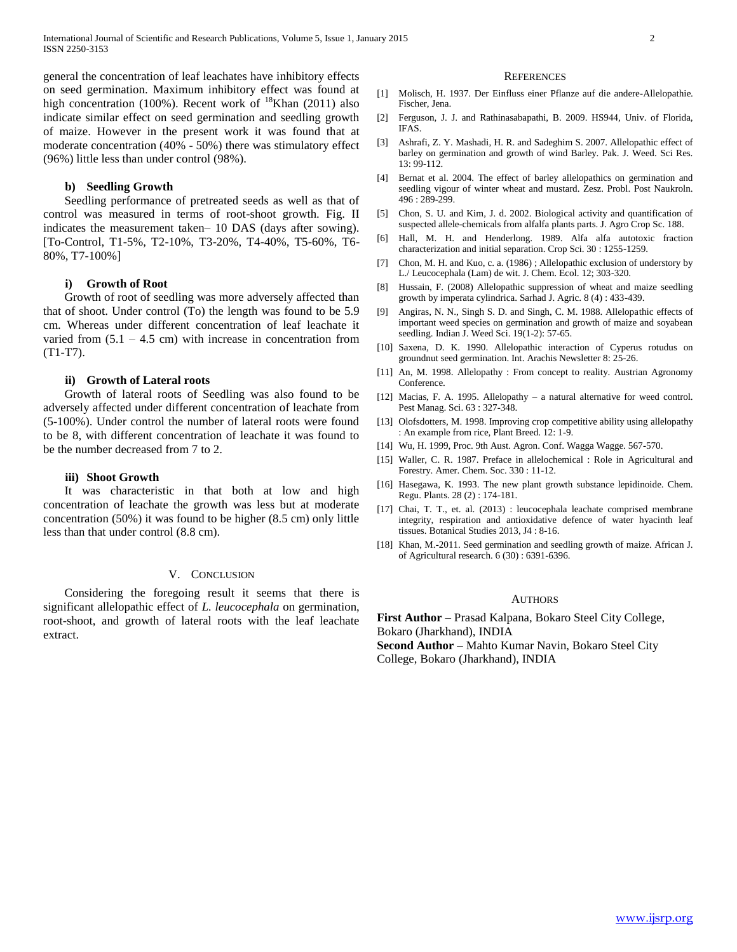general the concentration of leaf leachates have inhibitory effects on seed germination. Maximum inhibitory effect was found at high concentration (100%). Recent work of  $^{18}$ Khan (2011) also indicate similar effect on seed germination and seedling growth of maize. However in the present work it was found that at moderate concentration (40% - 50%) there was stimulatory effect (96%) little less than under control (98%).

## **b) Seedling Growth**

 Seedling performance of pretreated seeds as well as that of control was measured in terms of root-shoot growth. Fig. II indicates the measurement taken– 10 DAS (days after sowing). [To-Control, T1-5%, T2-10%, T3-20%, T4-40%, T5-60%, T6- 80%, T7-100%]

## **i) Growth of Root**

 Growth of root of seedling was more adversely affected than that of shoot. Under control (To) the length was found to be 5.9 cm. Whereas under different concentration of leaf leachate it varied from  $(5.1 - 4.5$  cm) with increase in concentration from (T1-T7).

#### **ii) Growth of Lateral roots**

 Growth of lateral roots of Seedling was also found to be adversely affected under different concentration of leachate from (5-100%). Under control the number of lateral roots were found to be 8, with different concentration of leachate it was found to be the number decreased from 7 to 2.

#### **iii) Shoot Growth**

 It was characteristic in that both at low and high concentration of leachate the growth was less but at moderate concentration (50%) it was found to be higher (8.5 cm) only little less than that under control (8.8 cm).

## V. CONCLUSION

 Considering the foregoing result it seems that there is significant allelopathic effect of *L. leucocephala* on germination, root-shoot, and growth of lateral roots with the leaf leachate extract.

#### **REFERENCES**

- [1] Molisch, H. 1937. Der Einfluss einer Pflanze auf die andere-Allelopathie. Fischer, Jena.
- [2] Ferguson, J. J. and Rathinasabapathi, B. 2009. HS944, Univ. of Florida, IFAS.
- [3] Ashrafi, Z. Y. Mashadi, H. R. and Sadeghim S. 2007. Allelopathic effect of barley on germination and growth of wind Barley. Pak. J. Weed. Sci Res. 13: 99-112.
- [4] Bernat et al. 2004. The effect of barley allelopathics on germination and seedling vigour of winter wheat and mustard. Zesz. Probl. Post Naukroln. 496 : 289-299.
- [5] Chon, S. U. and Kim, J. d. 2002. Biological activity and quantification of suspected allele-chemicals from alfalfa plants parts. J. Agro Crop Sc. 188.
- [6] Hall, M. H. and Henderlong. 1989. Alfa alfa autotoxic fraction characterization and initial separation. Crop Sci. 30 : 1255-1259.
- [7] Chon, M. H. and Kuo, c. a. (1986); Allelopathic exclusion of understory by L./ Leucocephala (Lam) de wit. J. Chem. Ecol. 12; 303-320.
- [8] Hussain, F. (2008) Allelopathic suppression of wheat and maize seedling growth by imperata cylindrica. Sarhad J. Agric. 8 (4) : 433-439.
- [9] Angiras, N. N., Singh S. D. and Singh, C. M. 1988. Allelopathic effects of important weed species on germination and growth of maize and soyabean seedling. Indian J. Weed Sci. 19(1-2): 57-65.
- [10] Saxena, D. K. 1990. Allelopathic interaction of Cyperus rotudus on groundnut seed germination. Int. Arachis Newsletter 8: 25-26.
- [11] An, M. 1998. Allelopathy : From concept to reality. Austrian Agronomy Conference.
- [12] Macias, F. A. 1995. Allelopathy a natural alternative for weed control. Pest Manag. Sci. 63 : 327-348.
- [13] Olofsdotters, M. 1998. Improving crop competitive ability using allelopathy : An example from rice, Plant Breed. 12: 1-9.
- [14] Wu, H. 1999, Proc. 9th Aust. Agron. Conf. Wagga Wagge. 567-570.
- [15] Waller, C. R. 1987. Preface in allelochemical : Role in Agricultural and Forestry. Amer. Chem. Soc. 330 : 11-12.
- [16] Hasegawa, K. 1993. The new plant growth substance lepidinoide. Chem. Regu. Plants. 28 (2) : 174-181.
- [17] Chai, T. T., et. al. (2013) : leucocephala leachate comprised membrane integrity, respiration and antioxidative defence of water hyacinth leaf tissues. Botanical Studies 2013, J4 : 8-16.
- [18] Khan, M.-2011. Seed germination and seedling growth of maize. African J. of Agricultural research. 6 (30) : 6391-6396.

#### AUTHORS

**First Author** – Prasad Kalpana, Bokaro Steel City College, Bokaro (Jharkhand), INDIA **Second Author** – Mahto Kumar Navin, Bokaro Steel City College, Bokaro (Jharkhand), INDIA